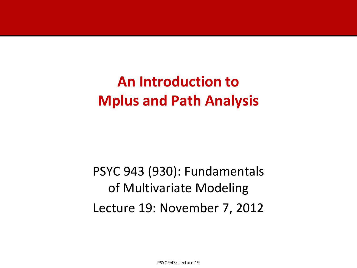## **An Introduction to Mplus and Path Analysis**

PSYC 943 (930): Fundamentals of Multivariate Modeling Lecture 19: November 7, 2012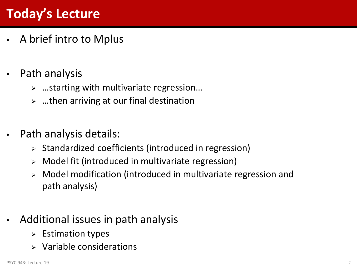## **Today's Lecture**

- A brief intro to Mplus
- Path analysis
	- …starting with multivariate regression…
	- $\triangleright$  ...then arriving at our final destination
- Path analysis details:
	- $\triangleright$  Standardized coefficients (introduced in regression)
	- $\triangleright$  Model fit (introduced in multivariate regression)
	- Model modification (introduced in multivariate regression and path analysis)
- Additional issues in path analysis
	- $\triangleright$  Estimation types
	- Variable considerations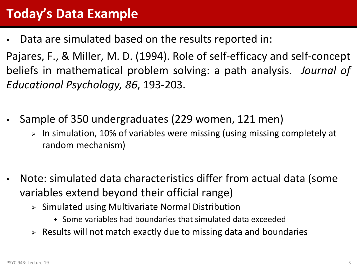## **Today's Data Example**

Data are simulated based on the results reported in:

Pajares, F., & Miller, M. D. (1994). Role of self-efficacy and self-concept beliefs in mathematical problem solving: a path analysis. *Journal of Educational Psychology, 86*, 193-203.

- Sample of 350 undergraduates (229 women, 121 men)
	- $\ge$  In simulation, 10% of variables were missing (using missing completely at random mechanism)
- Note: simulated data characteristics differ from actual data (some variables extend beyond their official range)
	- $\triangleright$  Simulated using Multivariate Normal Distribution
		- Some variables had boundaries that simulated data exceeded
	- $\triangleright$  Results will not match exactly due to missing data and boundaries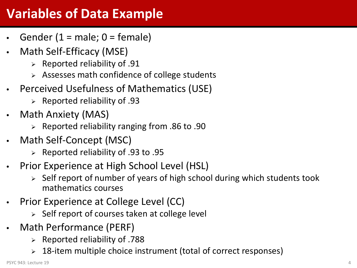## **Variables of Data Example**

- Gender  $(1 = male; 0 = female)$
- Math Self-Efficacy (MSE)
	- $\triangleright$  Reported reliability of .91
	- $\triangleright$  Assesses math confidence of college students
- Perceived Usefulness of Mathematics (USE)
	- $\triangleright$  Reported reliability of .93
- Math Anxiety (MAS)
	- $\geq$  Reported reliability ranging from .86 to .90
- Math Self-Concept (MSC)
	- $\geq$  Reported reliability of .93 to .95
- Prior Experience at High School Level (HSL)
	- $\triangleright$  Self report of number of years of high school during which students took mathematics courses
- Prior Experience at College Level (CC)
	- $\triangleright$  Self report of courses taken at college level
- Math Performance (PERF)
	- $\triangleright$  Reported reliability of .788
	- 18-item multiple choice instrument (total of correct responses)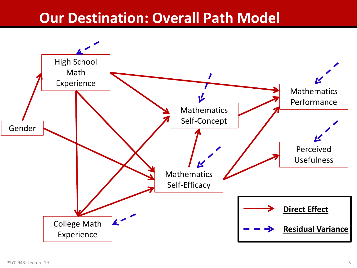## **Our Destination: Overall Path Model**

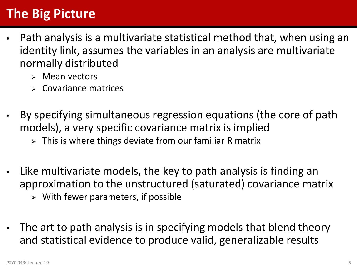## **The Big Picture**

- Path analysis is a multivariate statistical method that, when using an identity link, assumes the variables in an analysis are multivariate normally distributed
	- $\triangleright$  Mean vectors
	- Covariance matrices
- By specifying simultaneous regression equations (the core of path models), a very specific covariance matrix is implied
	- $\triangleright$  This is where things deviate from our familiar R matrix
- Like multivariate models, the key to path analysis is finding an approximation to the unstructured (saturated) covariance matrix
	- $\triangleright$  With fewer parameters, if possible
- The art to path analysis is in specifying models that blend theory and statistical evidence to produce valid, generalizable results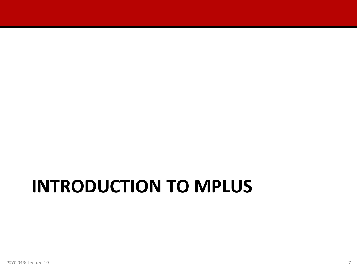# **INTRODUCTION TO MPLUS**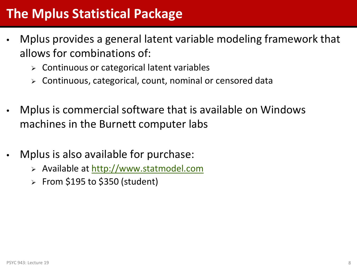#### **The Mplus Statistical Package**

- Mplus provides a general latent variable modeling framework that allows for combinations of:
	- $\triangleright$  Continuous or categorical latent variables
	- Continuous, categorical, count, nominal or censored data
- Mplus is commercial software that is available on Windows machines in the Burnett computer labs
- Mplus is also available for purchase:
	- Available at [http://www.statmodel.com](http://www.statmodel.com/)
	- $\ge$  From \$195 to \$350 (student)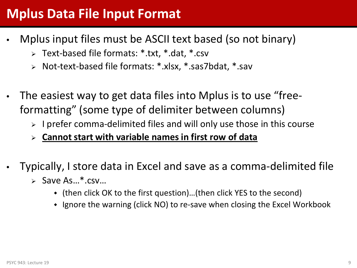#### **Mplus Data File Input Format**

- Mplus input files must be ASCII text based (so not binary)
	- Text-based file formats: \*.txt, \*.dat, \*.csv
	- Not-text-based file formats: \*.xlsx, \*.sas7bdat, \*.sav
- The easiest way to get data files into Mplus is to use "freeformatting" (some type of delimiter between columns)
	- $\triangleright$  I prefer comma-delimited files and will only use those in this course
	- **Cannot start with variable names in first row of data**
- Typically, I store data in Excel and save as a comma-delimited file
	- $\triangleright$  Save As...\*.csv...
		- (then click OK to the first question)…(then click YES to the second)
		- Ignore the warning (click NO) to re-save when closing the Excel Workbook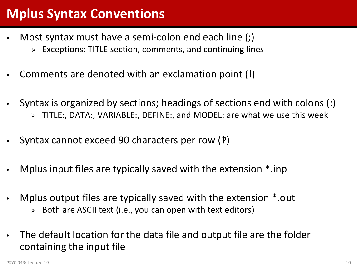## **Mplus Syntax Conventions**

- Most syntax must have a semi-colon end each line (;)
	- $\triangleright$  Exceptions: TITLE section, comments, and continuing lines
- Comments are denoted with an exclamation point (!)
- Syntax is organized by sections; headings of sections end with colons (:) TITLE:, DATA:, VARIABLE:, DEFINE:, and MODEL: are what we use this week
- Syntax cannot exceed 90 characters per row (?)
- Mplus input files are typically saved with the extension \*.inp
- Mplus output files are typically saved with the extension \*.out
	- $\triangleright$  Both are ASCII text (i.e., you can open with text editors)
- The default location for the data file and output file are the folder containing the input file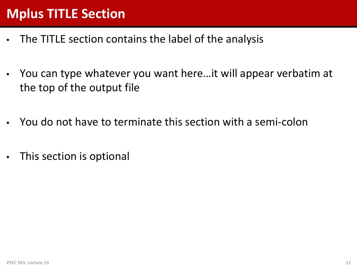## **Mplus TITLE Section**

- The TITLE section contains the label of the analysis
- You can type whatever you want here…it will appear verbatim at the top of the output file
- You do not have to terminate this section with a semi-colon
- This section is optional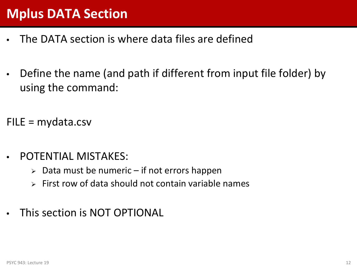## **Mplus DATA Section**

- The DATA section is where data files are defined
- Define the name (and path if different from input file folder) by using the command:

 $FILE = mydata.csv$ 

- POTENTIAL MISTAKES:
	- $\geq$  Data must be numeric if not errors happen
	- $\triangleright$  First row of data should not contain variable names
- This section is NOT OPTIONAL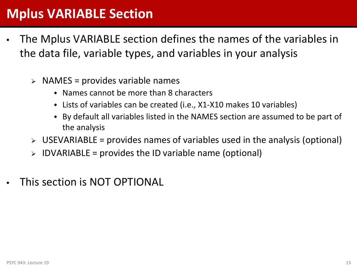#### **Mplus VARIABLE Section**

- The Mplus VARIABLE section defines the names of the variables in the data file, variable types, and variables in your analysis
	- $\triangleright$  NAMES = provides variable names
		- Names cannot be more than 8 characters
		- Lists of variables can be created (i.e., X1-X10 makes 10 variables)
		- By default all variables listed in the NAMES section are assumed to be part of the analysis
	- $\triangleright$  USEVARIABLE = provides names of variables used in the analysis (optional)
	- $\triangleright$  IDVARIABLE = provides the ID variable name (optional)
- This section is NOT OPTIONAL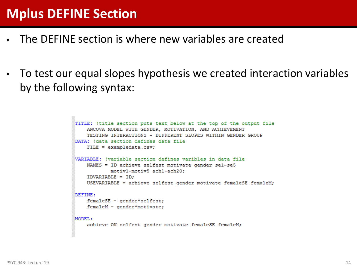#### **Mplus DEFINE Section**

- The DEFINE section is where new variables are created
- To test our equal slopes hypothesis we created interaction variables by the following syntax:

```
TITLE: !title section puts text below at the top of the output file
    ANCOVA MODEL WITH GENDER, MOTIVATION, AND ACHIEVEMENT
    TESTING INTERACTIONS - DIFFERENT SLOPES WITHIN GENDER GROUP
DATA: 'data section defines data file
    FILE = exampledata.csv;VARIABLE: !variable section defines varibles in data file
    NAMES = ID achieve selfest motivate gender se1-se5
            motiv1-motiv5 ach1-ach20:
    IDVARIABLE = ID;
    USEVARIABLE = achieve selfest gender motivate femaleSE femaleM;
DEFINE:
    femaleSE = qender*selfest;
    femaleM = gender*motivate;MODEL:
    achieve ON selfest gender motivate femaleSE femaleM;
```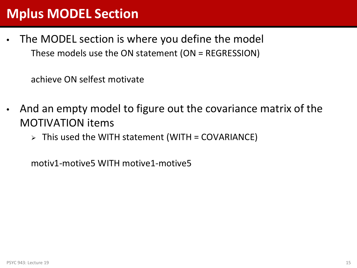#### **Mplus MODEL Section**

The MODEL section is where you define the model These models use the ON statement (ON = REGRESSION)

achieve ON selfest motivate

- And an empty model to figure out the covariance matrix of the MOTIVATION items
	- $\triangleright$  This used the WITH statement (WITH = COVARIANCE)

motiv1-motive5 WITH motive1-motive5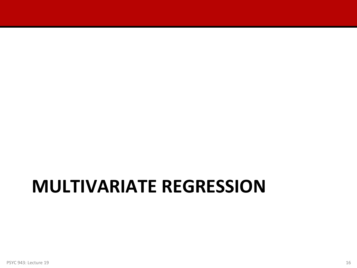## **MULTIVARIATE REGRESSION**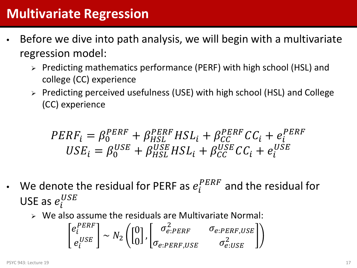- Before we dive into path analysis, we will begin with a multivariate regression model:
	- Predicting mathematics performance (PERF) with high school (HSL) and college (CC) experience
	- Predicting perceived usefulness (USE) with high school (HSL) and College (CC) experience

$$
PERF_i = \beta_0^{PERF} + \beta_{HSL}^{PERF} HSL_i + \beta_{CC}^{PERF} CC_i + e_i^{PERF}
$$
  

$$
USE_i = \beta_0^{USE} + \beta_{HSL}^{USE} HSL_i + \beta_{CC}^{USE} CC_i + e_i^{USE}
$$

- We denote the residual for PERF as  $e_i^{PERF}$  and the residual for USE as  $e_i^U$ 
	- $\triangleright$  We also assume the residuals are Multivariate Normal:

$$
\begin{bmatrix} e_i^{PERF} \\ e_i^{USE} \end{bmatrix} \sim N_2 \left( \begin{bmatrix} 0 \\ 0 \end{bmatrix}, \begin{bmatrix} \sigma_{e:PERF}^2 & \sigma_{e:PERF,USE} \\ \sigma_{e:PERF,USE} & \sigma_{e:USE}^2 \end{bmatrix} \right)
$$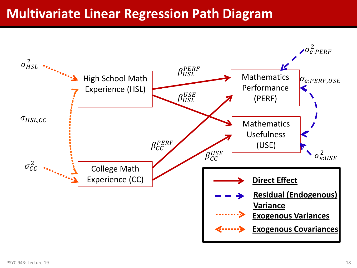#### **Multivariate Linear Regression Path Diagram**

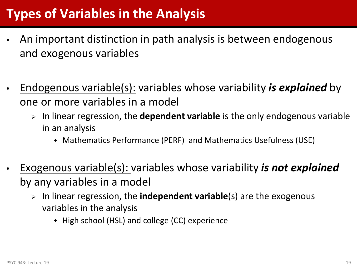## **Types of Variables in the Analysis**

- An important distinction in path analysis is between endogenous and exogenous variables
- Endogenous variable(s): variables whose variability *is explained* by one or more variables in a model
	- In linear regression, the **dependent variable** is the only endogenous variable in an analysis
		- Mathematics Performance (PERF) and Mathematics Usefulness (USE)
- Exogenous variable(s): variables whose variability *is not explained*  by any variables in a model
	- In linear regression, the **independent variable**(s) are the exogenous variables in the analysis
		- High school (HSL) and college (CC) experience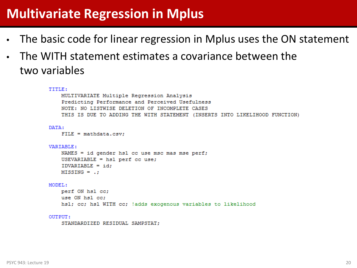#### **Multivariate Regression in Mplus**

- The basic code for linear regression in Mplus uses the ON statement
- The WITH statement estimates a covariance between the two variables

```
TITLE:
   MULTIVARIATE Multiple Regression Analysis
    Predicting Performance and Perceived Usefulness
    NOTE: NO LISTWISE DELETION OF INCOMPLETE CASES
    THIS IS DUE TO ADDING THE WITH STATEMENT (INSERTS INTO LIKELIHOOD FUNCTION)
DATA:
    FILE = mathdata.csv:VARIABLE:
    NAMES = id gender hsl cc use msc mas mse perf;
    USEVARIABLE = hsl perf cc use;
    IDVARIABLE = id:MISSING = .:MODEL:
    perf ON hsl cc;
    use ON hsl cc:
    hsl; cc; hsl WITH cc; !adds exogenous variables to likelihood
```
OUTPUT:

STANDARDIZED RESIDUAL SAMPSTAT: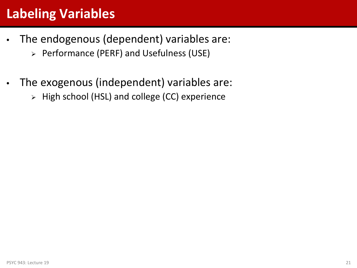## **Labeling Variables**

- The endogenous (dependent) variables are:
	- Performance (PERF) and Usefulness (USE)
- The exogenous (independent) variables are:
	- $\triangleright$  High school (HSL) and college (CC) experience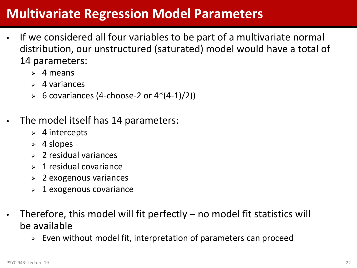#### **Multivariate Regression Model Parameters**

- If we considered all four variables to be part of a multivariate normal distribution, our unstructured (saturated) model would have a total of 14 parameters:
	- $\geq 4$  means
	- $\geq 4$  variances
	- $\triangleright$  6 covariances (4-choose-2 or 4\*(4-1)/2))
- The model itself has 14 parameters:
	- $\triangleright$  4 intercepts
	- $\geq 4$  slopes
	- $\geq 2$  residual variances
	- $\geq 1$  residual covariance
	- $\geq 2$  exogenous variances
	- $\geq 1$  exogenous covariance
- Therefore, this model will fit perfectly  $-$  no model fit statistics will be available
	- $\triangleright$  Even without model fit, interpretation of parameters can proceed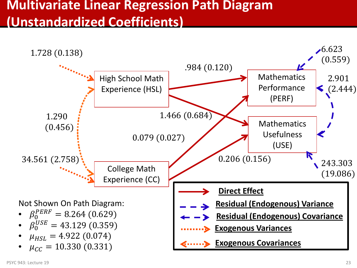#### **Multivariate Linear Regression Path Diagram (Unstandardized Coefficients)**

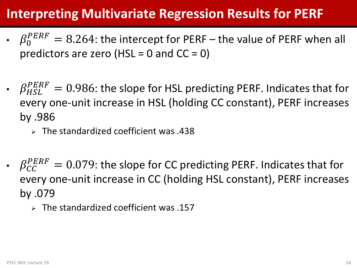## **Interpreting Multivariate Regression Results for PERF**

- $\beta_0^{PERF} = 8.264$ : the intercept for PERF the value of PERF when all predictors are zero (HSL = 0 and  $CC = 0$ )
- $\beta_{HSL}^{PERF} = 0.986$ : the slope for HSL predicting PERF. Indicates that for every one-unit increase in HSL (holding CC constant), PERF increases by .986
	- $\triangleright$  The standardized coefficient was .438
- $\beta_{CC}^{PERF} = 0.079$ : the slope for CC predicting PERF. Indicates that for every one-unit increase in CC (holding HSL constant), PERF increases by .079
	- $\geq$  The standardized coefficient was .157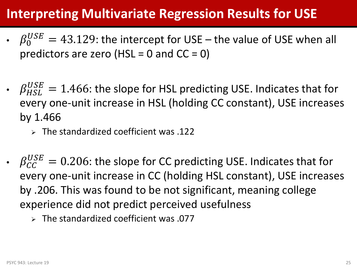## **Interpreting Multivariate Regression Results for USE**

- $\beta_0^{USE} = 43.129$ : the intercept for USE the value of USE when all predictors are zero (HSL = 0 and  $CC = 0$ )
- $\beta_{HSL}^{USE} = 1.466$ : the slope for HSL predicting USE. Indicates that for every one-unit increase in HSL (holding CC constant), USE increases by 1.466
	- $\triangleright$  The standardized coefficient was .122
- $\beta_{CC}^{USE} = 0.206$ : the slope for CC predicting USE. Indicates that for every one-unit increase in CC (holding HSL constant), USE increases by .206. This was found to be not significant, meaning college experience did not predict perceived usefulness
	- $\triangleright$  The standardized coefficient was .077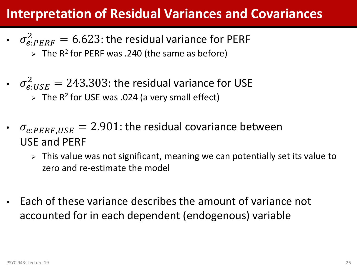#### **Interpretation of Residual Variances and Covariances**

- $\sigma_{e:PERF}^2 = 6.623$ : the residual variance for PERF  $\triangleright$  The R<sup>2</sup> for PERF was .240 (the same as before)
- $\sigma_{e:USE}^2 = 243.303$ : the residual variance for USE  $\triangleright$  The R<sup>2</sup> for USE was .024 (a very small effect)
- $\sigma_{e:PERF,USE}$  = 2.901: the residual covariance between USE and PERF
	- $\triangleright$  This value was not significant, meaning we can potentially set its value to zero and re-estimate the model
- Each of these variance describes the amount of variance not accounted for in each dependent (endogenous) variable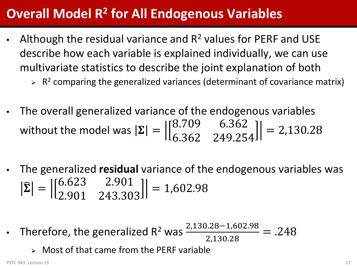#### **Overall Model R2 for All Endogenous Variables**

- Although the residual variance and  $R^2$  values for PERF and USE describe how each variable is explained individually, we can use multivariate statistics to describe the joint explanation of both
	- $\triangleright$  R<sup>2</sup> comparing the generalized variances (determinant of covariance matrix)
- The overall generalized variance of the endogenous variables without the model was  $|\mathbf{\Sigma}| =$ 8.709 6.362 6.362 249.254  $= 2,130.28$
- The generalized **residual** variance of the endogenous variables was  $\left| \Sigma \right| =$ 6.623 2.901 2.901 243.303  $= 1,602.98$
- Therefore, the generalized R<sup>2</sup> was  $\frac{2,130.28-1,602.98}{3,130,39}$ 2,130.28  $= .248$ 
	- $\triangleright$  Most of that came from the PERF variable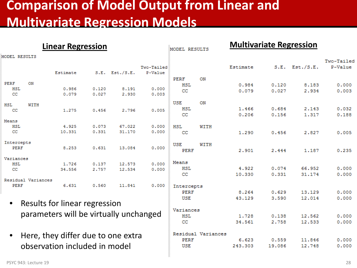#### **Comparison of Model Output from Linear and Multivariate Regression Models**

|                                                 |                    | <b>Linear Regression</b>      |                                        |                    |                         | MODEL RESULTS    |        | <b>Multivariate Regression</b> |                |                |                |
|-------------------------------------------------|--------------------|-------------------------------|----------------------------------------|--------------------|-------------------------|------------------|--------|--------------------------------|----------------|----------------|----------------|
| <b>IODEL RESULTS</b>                            |                    |                               |                                        |                    |                         |                  |        |                                |                |                | Two-Tailed     |
|                                                 |                    | Estimate                      | S.E.                                   | Est./S.E.          | Two-Tailed<br>P-Value   |                  |        | Estimate                       | S.E.           | Est./S.E.      | P-Value        |
| PERF                                            | ON                 |                               |                                        |                    |                         | PERF             | ON     |                                |                |                |                |
| <b>HSL</b><br>CC                                |                    | 0.986<br>0.079                | 0.120<br>0.027                         | 8.191<br>2.930     | 0.000<br>0.003          | <b>HSL</b><br>CC |        | 0.984<br>0.079                 | 0.120<br>0.027 | 8,183<br>2.934 | 0.000<br>0.003 |
| HSL                                             | WITH               |                               |                                        |                    |                         | <b>USE</b>       | ON     |                                |                |                |                |
| CC                                              |                    | 1.275                         | 0.456                                  | 2.796              | 0.005                   | <b>HSL</b><br>cc |        | 1.466<br>0.206                 | 0.684<br>0.156 | 2.143<br>1.317 | 0.032<br>0.188 |
| Means                                           |                    |                               |                                        |                    |                         |                  |        |                                |                |                |                |
| <b>HSL</b><br>cc                                |                    | 4.925<br>10.331               | 0.073<br>0.331                         | 67.022<br>31.170   | 0.000<br>0.000          | <b>HSL</b><br>cc | WITH   | 1.290                          | 0.456          | 2.827          | 0.005          |
| Intercepts                                      |                    |                               |                                        |                    |                         | <b>USE</b>       | WITH   |                                |                |                |                |
| <b>PERF</b>                                     |                    | 8.253                         | 0.631                                  | 13.084             | 0.000                   | PERF             |        | 2.901                          | 2.444          | 1,187          | 0.235          |
| Variances                                       |                    |                               |                                        |                    |                         |                  |        |                                |                |                |                |
| HSL                                             |                    | 1.726                         | 0.137                                  | 12.573             | 0.000                   | Means<br>HSL     |        | 4.922                          | 0.074          | 66.952         | 0.000          |
| cc                                              |                    | 34.556                        | 2.757                                  | 12.534             | 0.000                   | cc               |        | 10,330                         | 0.331          | 31.174         | 0.000          |
|                                                 | Residual Variances |                               |                                        |                    |                         |                  |        |                                |                |                |                |
| PERF                                            |                    | 6.631                         | 0.560                                  | 11.841             | 0.000                   | Intercepts       |        |                                |                |                |                |
|                                                 |                    |                               |                                        |                    |                         | <b>PERF</b>      |        | 8.264                          | 0.629          | 13,129         | 0.000          |
|                                                 |                    |                               |                                        |                    |                         | <b>USE</b>       |        | 43.129                         | 3.590          | 12.014         | 0.000          |
| $\bullet$                                       |                    | Results for linear regression |                                        |                    |                         |                  |        |                                |                |                |                |
|                                                 |                    |                               | parameters will be virtually unchanged |                    | Variances<br><b>HSL</b> |                  | 1,728  | 0.138                          | 12.562         | 0.000          |                |
|                                                 |                    |                               |                                        |                    |                         | cc               |        | 34.561                         | 2.758          | 12.533         | 0.000          |
| Here, they differ due to one extra<br>$\bullet$ |                    |                               |                                        | Residual Variances |                         |                  |        |                                |                |                |                |
|                                                 |                    |                               | PERF                                   |                    | 6.623                   | 0.559            | 11.846 | 0.000                          |                |                |                |
| observation included in model                   |                    |                               | <b>USE</b>                             |                    | 243.303                 | 19,086           | 12.748 | 0.000                          |                |                |                |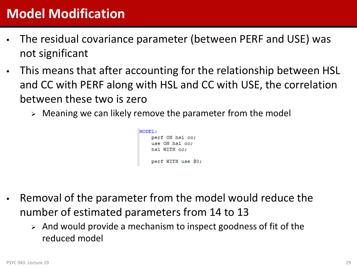## **Model Modification**

- The residual covariance parameter (between PERF and USE) was not significant
- This means that after accounting for the relationship between HSL and CC with PERF along with HSL and CC with USE, the correlation between these two is zero
	- $\triangleright$  Meaning we can likely remove the parameter from the model

```
MODEL:
    perf ON hsl cc;
    use ON hsl cc:
    hsl WITH cc:
    perf WITH use 00;
```
- Removal of the parameter from the model would reduce the number of estimated parameters from 14 to 13
	- $\triangleright$  And would provide a mechanism to inspect goodness of fit of the reduced model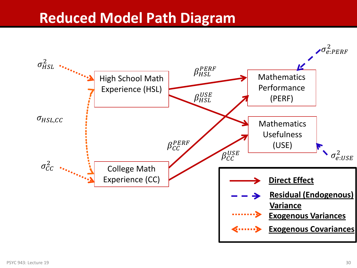## **Reduced Model Path Diagram**

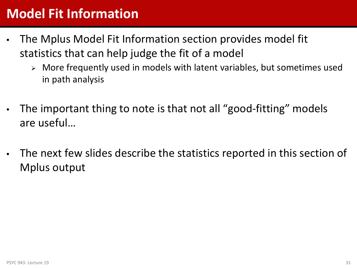## **Model Fit Information**

- The Mplus Model Fit Information section provides model fit statistics that can help judge the fit of a model
	- More frequently used in models with latent variables, but sometimes used in path analysis
- The important thing to note is that not all "good-fitting" models are useful…
- The next few slides describe the statistics reported in this section of Mplus output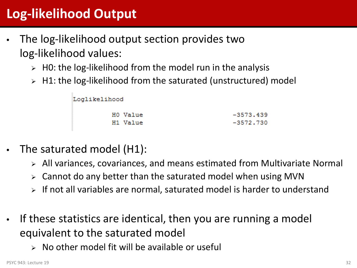## **Log-likelihood Output**

- The log-likelihood output section provides two log-likelihood values:
	- $\triangleright$  H0: the log-likelihood from the model run in the analysis
	- $\triangleright$  H1: the log-likelihood from the saturated (unstructured) model

| Loglikelihood |             |
|---------------|-------------|
| HO Value      | $-3573.439$ |
| H1 Value      | $-3572.730$ |

- The saturated model (H1):
	- All variances, covariances, and means estimated from Multivariate Normal
	- Cannot do any better than the saturated model when using MVN
	- If not all variables are normal, saturated model is harder to understand
- If these statistics are identical, then you are running a model equivalent to the saturated model
	- $\triangleright$  No other model fit will be available or useful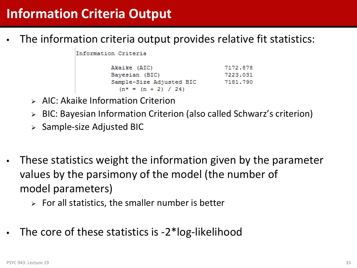The information criteria output provides relative fit statistics:

Information Criteria

Akaike (AIC) 7172.878 Bayesian (BIC) 7223.031 Sample-Size Adjusted BIC 7181.790  $(n* = (n + 2) / 24)$ 

- $\triangleright$  AIC: Akaike Information Criterion
- BIC: Bayesian Information Criterion (also called Schwarz's criterion)
- $\triangleright$  Sample-size Adjusted BIC
- These statistics weight the information given by the parameter values by the parsimony of the model (the number of model parameters)
	- $\triangleright$  For all statistics, the smaller number is better
- The core of these statistics is -2\*log-likelihood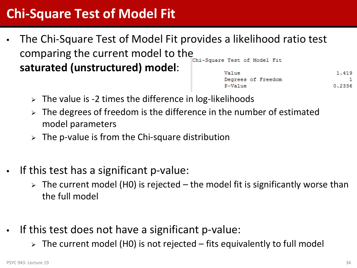## **Chi-Square Test of Model Fit**

- The Chi-Square Test of Model Fit provides a likelihood ratio test comparing the current model to the COMB Test of Model Fit **saturated (unstructured) model**: Value
	- 1.419 Degrees of Freedom 0.2336 P-Value
	- $\triangleright$  The value is -2 times the difference in log-likelihoods
	- The degrees of freedom is the difference in the number of estimated model parameters
	- $\triangleright$  The p-value is from the Chi-square distribution
- If this test has a significant p-value:
	- $\triangleright$  The current model (H0) is rejected the model fit is significantly worse than the full model
- If this test does not have a significant p-value:
	- $\ge$  The current model (H0) is not rejected fits equivalently to full model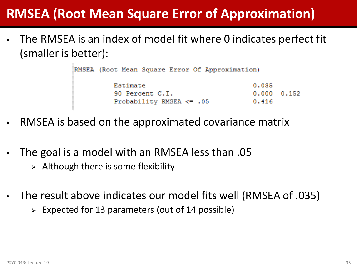## **RMSEA (Root Mean Square Error of Approximation)**

The RMSEA is an index of model fit where 0 indicates perfect fit (smaller is better):

|          |                              |  | RMSEA (Root Mean Square Error Of Approximation) |       |                     |
|----------|------------------------------|--|-------------------------------------------------|-------|---------------------|
| Estimate |                              |  |                                                 | 0.035 |                     |
|          | 90 Percent C.I.              |  |                                                 |       | $0.000 \quad 0.152$ |
|          | Probability RMSEA $\leq$ .05 |  |                                                 | 0.416 |                     |

- RMSEA is based on the approximated covariance matrix
- The goal is a model with an RMSEA less than .05
	- $\triangleright$  Although there is some flexibility
- The result above indicates our model fits well (RMSEA of .035)
	- $\triangleright$  Expected for 13 parameters (out of 14 possible)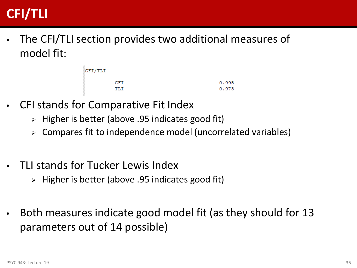## **CFI/TLI**

• The CFI/TLI section provides two additional measures of model fit:

| CFI/TLI |       |
|---------|-------|
| CFI     | 0.995 |
| TLI     | 0.973 |

- CFI stands for Comparative Fit Index
	- $\triangleright$  Higher is better (above .95 indicates good fit)
	- $\triangleright$  Compares fit to independence model (uncorrelated variables)
- TLI stands for Tucker Lewis Index
	- $\triangleright$  Higher is better (above .95 indicates good fit)
- Both measures indicate good model fit (as they should for 13 parameters out of 14 possible)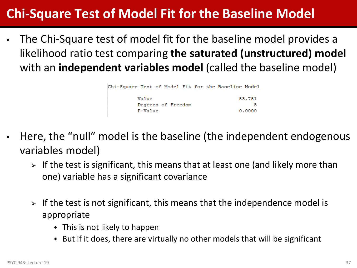## **Chi-Square Test of Model Fit for the Baseline Model**

• The Chi-Square test of model fit for the baseline model provides a likelihood ratio test comparing **the saturated (unstructured) model** with an **independent variables model** (called the baseline model)

| Chi-Square Test of Model Fit for the Baseline Model |        |
|-----------------------------------------------------|--------|
| Value<br>Degrees of Freedom                         | 83.781 |
| P-Value                                             | 0.0000 |

- Here, the "null" model is the baseline (the independent endogenous variables model)
	- $\triangleright$  If the test is significant, this means that at least one (and likely more than one) variable has a significant covariance
	- $\triangleright$  If the test is not significant, this means that the independence model is appropriate
		- $\bullet$  This is not likely to happen
		- But if it does, there are virtually no other models that will be significant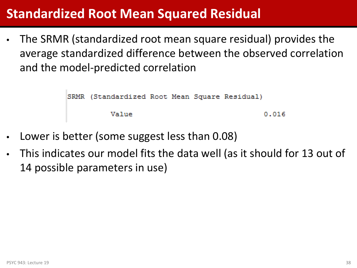## **Standardized Root Mean Squared Residual**

• The SRMR (standardized root mean square residual) provides the average standardized difference between the observed correlation and the model-predicted correlation

SRMR (Standardized Root Mean Square Residual)

Value

 $0.016$ 

- Lower is better (some suggest less than 0.08)
- This indicates our model fits the data well (as it should for 13 out of 14 possible parameters in use)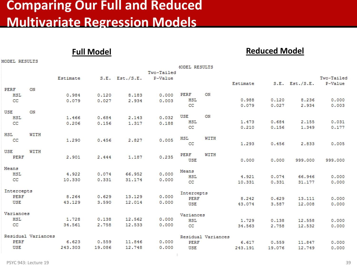## **Comparing Our Full and Reduced Multivariate Regression Models**

**Full Model Reduced Model**

|            |                    |          |        |                     |            | MODEL RESULTS |                    |          |        |                     |            |
|------------|--------------------|----------|--------|---------------------|------------|---------------|--------------------|----------|--------|---------------------|------------|
|            |                    |          |        |                     | Two-Tailed |               |                    |          |        |                     |            |
|            |                    | Estimate |        | $S.E.$ Est./ $S.E.$ | P-Value    |               |                    |          |        |                     | Two-Tailed |
|            |                    |          |        |                     |            |               |                    | Estimate |        | $S.E.$ Est./ $S.E.$ | P-Value    |
| PERF       | ON                 |          |        |                     |            |               |                    |          |        |                     |            |
| <b>HSL</b> |                    | 0.984    | 0.120  | 8.183               | 0.000      | <b>PERF</b>   | ON                 |          |        |                     |            |
| cc         |                    | 0.079    | 0.027  | 2.934               | 0.003      | <b>HSL</b>    |                    | 0.988    | 0.120  | 8.236               | 0.000      |
|            |                    |          |        |                     |            | cc            |                    | 0.079    | 0.027  | 2.934               | 0.003      |
| <b>USE</b> | ON                 |          |        |                     |            |               |                    |          |        |                     |            |
| <b>HSL</b> |                    | 1.466    | 0.684  | 2.143               | 0.032      | <b>USE</b>    | ON                 |          |        |                     |            |
| cc         |                    | 0.206    | 0.156  | 1.317               | 0.188      | <b>HSL</b>    |                    | 1.473    | 0.684  | 2.155               | 0.031      |
|            |                    |          |        |                     |            | CC            |                    | 0.210    | 0.156  | 1.349               | 0.177      |
| <b>HSL</b> | WITH               |          |        |                     |            | <b>HSL</b>    | WITH               |          |        |                     |            |
| cc         |                    | 1,290    | 0.456  | 2.827               | 0.005      | cc            |                    | 1.293    | 0.456  | 2.833               | 0.005      |
|            |                    |          |        |                     |            |               |                    |          |        |                     |            |
| <b>USE</b> | WITH               |          |        |                     |            | PERF          | WITH               |          |        |                     |            |
| PERF       |                    | 2.901    | 2.444  | 1.187               | 0.235      | <b>USE</b>    |                    | 0.000    | 0.000  | 999,000             | 999,000    |
|            |                    |          |        |                     |            |               |                    |          |        |                     |            |
| Means      |                    |          |        |                     |            | Means         |                    |          |        |                     |            |
| <b>HSL</b> |                    | 4.922    | 0.074  | 66.952              | 0.000      | <b>HSL</b>    |                    | 4.921    | 0.074  | 66.946              | 0.000      |
| cc         |                    | 10.330   | 0.331  | 31.174              | 0.000      | cc            |                    | 10.331   | 0.331  | 31.177              | 0.000      |
|            |                    |          |        |                     |            |               |                    |          |        |                     |            |
| Intercepts |                    |          |        |                     |            | Intercepts    |                    |          |        |                     |            |
| PERF       |                    | 8.264    | 0.629  | 13,129              | 0.000      | <b>PERF</b>   |                    | 8.242    | 0.629  | 13,111              | 0.000      |
| <b>USE</b> |                    | 43.129   | 3.590  | 12.014              | 0.000      | <b>USE</b>    |                    | 43.074   | 3.587  | 12,008              | 0.000      |
|            |                    |          |        |                     |            |               |                    |          |        |                     |            |
| Variances  |                    |          |        |                     |            | Variances     |                    |          |        |                     |            |
| <b>HSL</b> |                    | 1.728    | 0.138  | 12.562              | 0.000      | <b>HSL</b>    |                    | 1,729    | 0.138  | 12,558              | 0.000      |
| cc         |                    | 34.561   | 2.758  | 12.533              | 0.000      | cc            |                    | 34.563   | 2.758  | 12.532              | 0.000      |
|            | Residual Variances |          |        |                     |            |               | Residual Variances |          |        |                     |            |
| PERF       |                    | 6.623    | 0.559  | 11.846              | 0.000      | PERF          |                    | 6.617    | 0.559  | 11.847              | 0.000      |
| <b>USE</b> |                    | 243.303  | 19.086 | 12.748              | 0.000      | <b>USE</b>    |                    | 243.191  | 19.076 | 12.749              | 0.000      |

MODEL RESULTS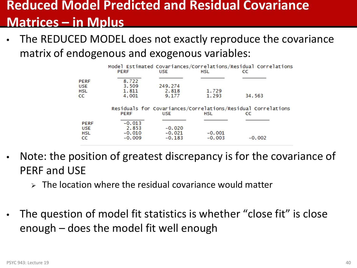## **Reduced Model Predicted and Residual Covariance Matrices – in Mplus**

The REDUCED MODEL does not exactly reproduce the covariance matrix of endogenous and exogenous variables:

|                                        | <b>PERF</b>                               | <b>USE</b>                       | Model Estimated Covariances/Correlations/Residual Correlations<br>HSL | CC.      |  |
|----------------------------------------|-------------------------------------------|----------------------------------|-----------------------------------------------------------------------|----------|--|
| PERF<br>USE<br>HSL<br>СC               | 8.722<br>3.509<br>1.811<br>4.001          | 249.274<br>2.818<br>9.177        | 1.729<br>1.293                                                        | 34,563   |  |
|                                        | <b>PERF</b>                               | <b>USE</b>                       | Residuals for Covariances/Correlations/Residual Correlations<br>HSL   | CC       |  |
| <b>PERF</b><br><b>USE</b><br>HSL<br>CC | $-0.013$<br>2.853<br>$-0.010$<br>$-0.009$ | $-0.020$<br>$-0.021$<br>$-0.183$ | $-0.001$<br>$-0.003$                                                  | $-0.002$ |  |

- Note: the position of greatest discrepancy is for the covariance of PERF and USE
	- $\triangleright$  The location where the residual covariance would matter
- The question of model fit statistics is whether "close fit" is close enough – does the model fit well enough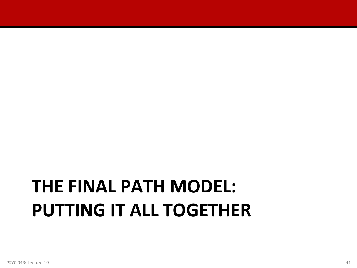# **THE FINAL PATH MODEL: PUTTING IT ALL TOGETHER**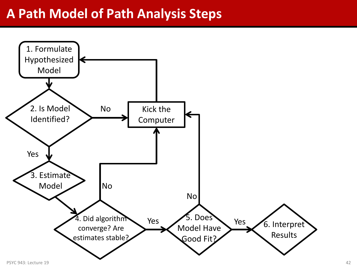#### **A Path Model of Path Analysis Steps**

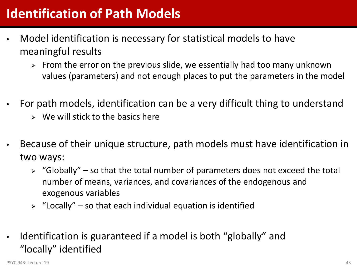## **Identification of Path Models**

- Model identification is necessary for statistical models to have meaningful results
	- $\triangleright$  From the error on the previous slide, we essentially had too many unknown values (parameters) and not enough places to put the parameters in the model
- For path models, identification can be a very difficult thing to understand
	- $\triangleright$  We will stick to the basics here
- Because of their unique structure, path models must have identification in two ways:
	- $\triangleright$  "Globally" so that the total number of parameters does not exceed the total number of means, variances, and covariances of the endogenous and exogenous variables
	- $\triangleright$  "Locally" so that each individual equation is identified
- Identification is guaranteed if a model is both "globally" and "locally" identified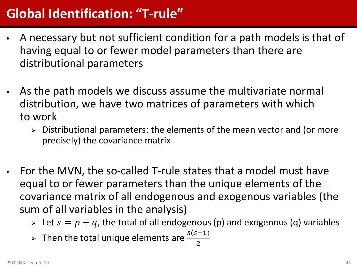## **Global Identification: "T-rule"**

- A necessary but not sufficient condition for a path models is that of having equal to or fewer model parameters than there are distributional parameters
- As the path models we discuss assume the multivariate normal distribution, we have two matrices of parameters with which to work
	- $\triangleright$  Distributional parameters: the elements of the mean vector and (or more precisely) the covariance matrix
- For the MVN, the so-called T-rule states that a model must have equal to or fewer parameters than the unique elements of the covariance matrix of all endogenous and exogenous variables (the sum of all variables in the analysis)
	- $\triangleright$  Let  $s = p + q$ , the total of all endogenous (p) and exogenous (q) variables
	- > Then the total unique elements are  $\frac{s(s+1)}{2}$ 2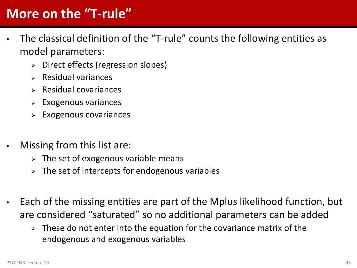## **More on the "T-rule"**

- The classical definition of the "T-rule" counts the following entities as model parameters:
	- $\triangleright$  Direct effects (regression slopes)
	- $\triangleright$  Residual variances
	- $\triangleright$  Residual covariances
	- Exogenous variances
	- Exogenous covariances
- Missing from this list are:
	- $\triangleright$  The set of exogenous variable means
	- $\triangleright$  The set of intercepts for endogenous variables
- Each of the missing entities are part of the Mplus likelihood function, but are considered "saturated" so no additional parameters can be added
	- $\triangleright$  These do not enter into the equation for the covariance matrix of the endogenous and exogenous variables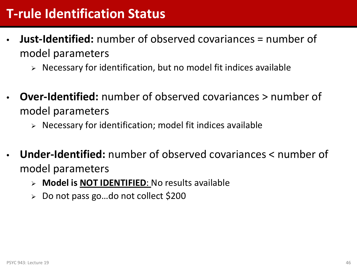## **T-rule Identification Status**

- **Just-Identified:** number of observed covariances = number of model parameters
	- $\triangleright$  Necessary for identification, but no model fit indices available
- **Over-Identified:** number of observed covariances > number of model parameters
	- $\triangleright$  Necessary for identification; model fit indices available
- **Under-Identified:** number of observed covariances < number of model parameters
	- **Model is NOT IDENTIFIED**: No results available
	- Do not pass go…do not collect \$200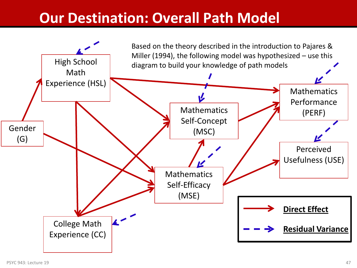## **Our Destination: Overall Path Model**

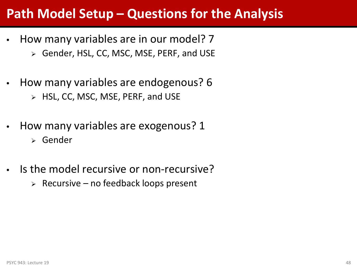## **Path Model Setup – Questions for the Analysis**

- How many variables are in our model? 7
	- Gender, HSL, CC, MSC, MSE, PERF, and USE
- How many variables are endogenous? 6
	- HSL, CC, MSC, MSE, PERF, and USE
- How many variables are exogenous? 1
	- Gender
- Is the model recursive or non-recursive?
	- $\triangleright$  Recursive no feedback loops present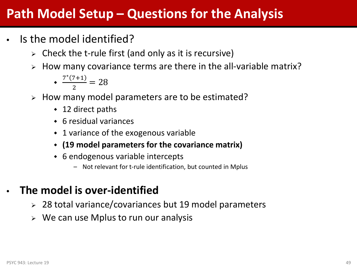## **Path Model Setup – Questions for the Analysis**

- Is the model identified?
	- $\triangleright$  Check the t-rule first (and only as it is recursive)
	- $\triangleright$  How many covariance terms are there in the all-variable matrix?
		- $\div \frac{7*(7+1)}{2}$  $\frac{1}{2}$  = 28
	- $\triangleright$  How many model parameters are to be estimated?
		- ◆ 12 direct paths
		- 6 residual variances
		- 1 variance of the exogenous variable
		- **(19 model parameters for the covariance matrix)**
		- 6 endogenous variable intercepts
			- Not relevant for t-rule identification, but counted in Mplus
- **The model is over-identified**
	- 28 total variance/covariances but 19 model parameters
	- $\triangleright$  We can use Mplus to run our analysis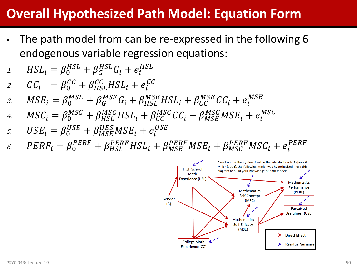## **Overall Hypothesized Path Model: Equation Form**

- The path model from can be re-expressed in the following 6 endogenous variable regression equations:
- 1.  $HSL_i = \beta_0^{HSL} + \beta_G^{HSL}G_i + e_i^{HSL}$
- 2.  $CC_i = \beta_0^{CC} + \beta_{HSL}^{CC} HSL_i + e_i^{CC}$
- 3.  $MSE_i = \beta_0^{MSE} + \beta_G^{MSE}G_i + \beta_{HSL}^{MSE}HSL_i + \beta_{CC}^{MSE}CC_i + e_i^M$
- 4.  $MSC_i = \beta_0^{MSC} + \beta_{HSL}^{MSC} HSL_i + \beta_{CC}^{MSC} CC_i + \beta_{MSE}^{MSC} MSE_i + e_i^M$
- 5.  $USE_i = \beta_0^{USE} + \beta_{MSE}^{UES}MSE_i + e_i^U$
- 6.  $PERF_i = \beta_0^{PERF} + \beta_{HSL}^{PERF} HSL_i + \beta_{MSE}^{PERF} MSE_i + \beta_{MSC}^{PERF} MSC_i + e_i^{PERF}$

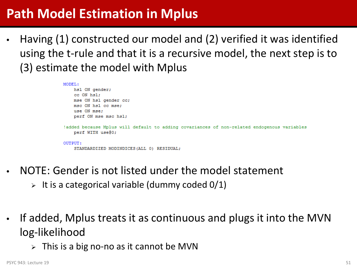## **Path Model Estimation in Mplus**

• Having (1) constructed our model and (2) verified it was identified using the t-rule and that it is a recursive model, the next step is to (3) estimate the model with Mplus

```
MODEL:
   hsl ON gender;
    cc ON hsl;
   mse ON hsl gender cc;
    msc ON hsl cc mse:
    use ON mse;
    perf ON mse msc hsl:
!added because Mplus will default to adding covariances of non-related endogenous variables
    perf WITH use@0;
OUTPUT:
    STANDARDIZED MODINDICES (ALL 0) RESIDUAL;
```
- NOTE: Gender is not listed under the model statement
	- $\triangleright$  It is a categorical variable (dummy coded 0/1)
- If added, Mplus treats it as continuous and plugs it into the MVN log-likelihood
	- $\triangleright$  This is a big no-no as it cannot be MVN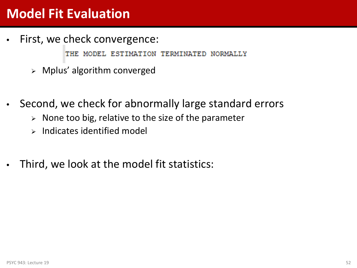## **Model Fit Evaluation**

First, we check convergence:

THE. MODEL ESTIMATION TERMINATED NORMALLY

- Mplus' algorithm converged
- Second, we check for abnormally large standard errors
	- $\triangleright$  None too big, relative to the size of the parameter
	- $\triangleright$  Indicates identified model
- Third, we look at the model fit statistics: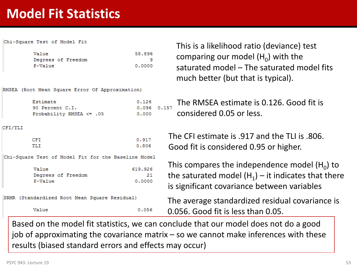## **Model Fit Statistics**

Chi-Square Test of Model Fit

| Value   |                    | 58,896 |
|---------|--------------------|--------|
|         | Degrees of Freedom | ۹      |
| P-Value |                    | 0.0000 |

RMSEA (Root Mean Square Error Of Approximation)

| Estimate                 | 0.126 |
|--------------------------|-------|
| 90 Percent C.I.          | 0.096 |
| Probability RMSEA <= .05 | 0.000 |

CFI/TLI

| CFI | 0.917 |
|-----|-------|
| TLI | 0.806 |

Chi-Square Test of Model Fit for the Baseline Model

| Value   |                    | 619,926 |
|---------|--------------------|---------|
|         | Degrees of Freedom | 21      |
| P-Value |                    | 0.0000  |

```
SRMR (Standardized Root Mean Square Residual)
```
Value

This is a likelihood ratio (deviance) test comparing our model  $(H_0)$  with the saturated model – The saturated model fits much better (but that is typical).

The RMSEA estimate is 0.126. Good fit is  $0.157$ considered 0.05 or less.

The CFI estimate is .917 and the TLL is .806. Good fit is considered 0.95 or higher.

This compares the independence model  $(H_0)$  to the saturated model  $(H_1)$  – it indicates that there is significant covariance between variables

The average standardized residual covariance is 0.056. Good fit is less than 0.05.

Based on the model fit statistics, we can conclude that our model does not do a good job of approximating the covariance matrix – so we cannot make inferences with these results (biased standard errors and effects may occur)

 $0.056$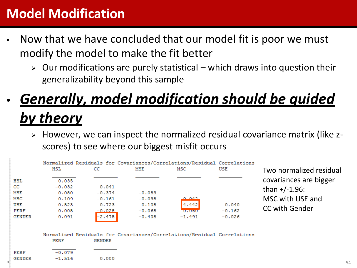## **Model Modification**

- Now that we have concluded that our model fit is poor we must modify the model to make the fit better
	- $\triangleright$  Our modifications are purely statistical which draws into question their generalizability beyond this sample

## • *Generally, model modification should be guided by theory*

 However, we can inspect the normalized residual covariance matrix (like zscores) to see where our biggest misfit occurs

|                                                                              | HSL                                                            | cс                                                             | MSE                                                      | Normalized Residuals for Covariances/Correlations/Residual Correlations<br>MSC | USE                           | Two normalized residual                                                                 |
|------------------------------------------------------------------------------|----------------------------------------------------------------|----------------------------------------------------------------|----------------------------------------------------------|--------------------------------------------------------------------------------|-------------------------------|-----------------------------------------------------------------------------------------|
| HSL<br>cc<br><b>MSE</b><br>MSC<br><b>USE</b><br><b>PERF</b><br><b>GENDER</b> | 0.035<br>$-0.032$<br>0.080<br>0.109<br>0.523<br>0.005<br>0.091 | 0.041<br>$-0.374$<br>$-0.161$<br>0.723<br>$-0.028$<br>$-2.475$ | $-0.083$<br>$-0.038$<br>$-0.108$<br>$-0.068$<br>$-0.408$ | 0.042<br>4.442<br>0.060<br>$-1.491$                                            | 0.040<br>$-0.162$<br>$-0.026$ | covariances are bigger<br>than $+/-1.96$ :<br>MSC with USE and<br><b>CC with Gender</b> |
| PERF<br><b>GENDER</b>                                                        | PERF<br>$-0.079$<br>$-1.516$                                   | GENDER<br>0.000                                                |                                                          | Normalized Residuals for Covariances/Correlations/Residual Correlations        |                               |                                                                                         |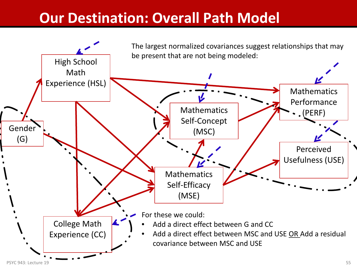## **Our Destination: Overall Path Model**

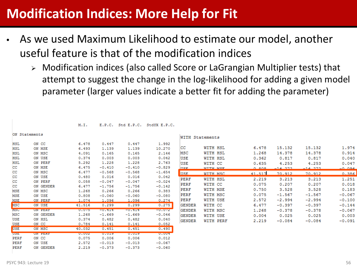## **Modification Indices: More Help for Fit**

E.P.C. Std E.P.C. StdYX E.P.C.

- As we used Maximum Likelihood to estimate our model, another useful feature is that of the modification indices
	- Modification indices (also called Score or LaGrangian Multiplier tests) that attempt to suggest the change in the log-likelihood for adding a given model parameter (larger values indicate a better fit for adding the parameter)

|             | ON Statements  |        |          |          |              |  |  |  |
|-------------|----------------|--------|----------|----------|--------------|--|--|--|
| HSL         | ON CC          | 6.478  | 0.447    | 0.447    | 1,992        |  |  |  |
| <b>HSL</b>  | ON MSE         | 6.493  | 1,139    | 1,139    | 10.270       |  |  |  |
| <b>HSL</b>  | ON MSC         | 4.091  | 0.165    | 0.165    | 2.146        |  |  |  |
| <b>HSL</b>  | ON USE         | 0.374  | 0.003    | 0.003    | 0.042        |  |  |  |
| <b>HSL</b>  | ON PERF        | 5.292  | 1,228    | 1,228    | 2.763        |  |  |  |
| cс          | ON MSE         | 6.475  | $-0.410$ | $-0.410$ | $-0.829$     |  |  |  |
| cс          | ON MSC         | 6.477  | $-0.568$ | $-0.568$ | $-1.654$     |  |  |  |
| cс          | ON USE         | 0.480  | 0.016    | 0.016    | 0.042        |  |  |  |
| cc          | ON PERF        | 0.058  | $-0.047$ | $-0.047$ | $-0.024$     |  |  |  |
| cс          | ON GENDER      | 6.477  | $-1.756$ | $-1.756$ | $-0.142$     |  |  |  |
| <b>MSE</b>  | ON MSC         | 1,268  | 0.266    | 0.266    | 0.383        |  |  |  |
| <b>MSE</b>  | ON USE         | 0.808  | $-0.060$ | $-0.060$ | $-0.080$     |  |  |  |
| MSE         | ON PERF        | 1,074  | 1,096    | 1,096    | 0.274        |  |  |  |
| <b>MSC</b>  | ON USE         | 41.516 | 0.299    | 0.299    | 0.275        |  |  |  |
| <b>MSC</b>  | <b>ON BURN</b> | 0.075  | -0.000   | -0.414   | $-0.072$     |  |  |  |
| MSC         | ON GENDER      | 1,268  | $-1.669$ | $-1.669$ | $-0.046$     |  |  |  |
| USE         | ON HSL         | 0.374  | 0.482    | 0.482    | 0.040        |  |  |  |
| USE         | ON CC          | 0.784  | 0.141    | 0.141    | 0.052        |  |  |  |
| <b>USE</b>  | ON MSC         | 40.032 | 0.451    | 0.451    | 0.490        |  |  |  |
| <b>UDE</b>  | <b>UN FERT</b> | 0.002  | 0.019    | 0.013    | <b>URUUS</b> |  |  |  |
| <b>PERF</b> | ON CC          | 0.075  | 0.006    | 0.006    | 0.012        |  |  |  |
| PERF        | ON USE         | 2.572  | $-0.013$ | $-0.013$ | $-0.067$     |  |  |  |
| PERF        | ON GENDER      | 2.219  | $-0.373$ | $-0.373$ | $-0.060$     |  |  |  |

M.I.

| WITH Statements            |        |          |           |              |
|----------------------------|--------|----------|-----------|--------------|
| WITH HSL                   | 6.478  | 15.132   | 15.132    | 1.974        |
| WITH HSL                   | 1,268  | 14,378   | 14,378    | 0.914        |
| WITH HSL                   | 0.362  | 0.817    | 0.817     | 0.040        |
| WITH CC                    | 0.635  | 4.253    | 4.253     | 0.047        |
| <b>WITH MSF</b>            | n ana  | -14 272  | $-14.272$ | <u>n nga</u> |
| WITH MSC                   | 41.517 | 70.912   | 70.912    | 0.386        |
| PERF<br>WITH HSL           | 2.219  | 3.213    | 3.213     | 1,251        |
| <b>PERF</b><br>WITH CC     | 0.075  | 0.207    | 0.207     | 0.018        |
| <b>PERF</b><br>WITH MSE    | 0.750  | 3.528    | 3.528     | 0.183        |
| WITH MSC<br><b>PERF</b>    | 0.075  | $-1.567$ | $-1.567$  | $-0.067$     |
| WITH USE<br>PERF           | 2.572  | $-2.994$ | $-2.994$  | $-0.100$     |
| <b>GENDER</b><br>WITH CC   | 6.477  | $-0.397$ | $-0.397$  | $-0.144$     |
| WITH MSC<br><b>GENDER</b>  | 1,268  | $-0.378$ | $-0.378$  | $-0.067$     |
| WITH USE<br><b>GENDER</b>  | 0.004  | 0.025    | 0.025     | 0.003        |
| <b>GENDER</b><br>WITH PERF | 2.219  | $-0.084$ | $-0.084$  | $-0.091$     |
|                            |        |          |           |              |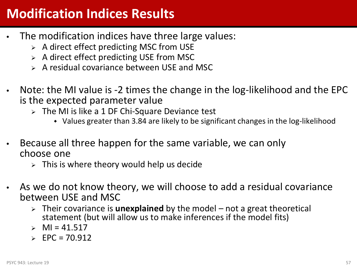## **Modification Indices Results**

- The modification indices have three large values:
	- $\triangleright$  A direct effect predicting MSC from USE
	- $\triangleright$  A direct effect predicting USE from MSC
	- $\triangleright$  A residual covariance between USE and MSC
- Note: the MI value is -2 times the change in the log-likelihood and the EPC is the expected parameter value
	- $\triangleright$  The MI is like a 1 DF Chi-Square Deviance test
		- Values greater than 3.84 are likely to be significant changes in the log-likelihood
- Because all three happen for the same variable, we can only choose one
	- $\triangleright$  This is where theory would help us decide
- As we do not know theory, we will choose to add a residual covariance between USE and MSC
	- Their covariance is **unexplained** by the model not a great theoretical statement (but will allow us to make inferences if the model fits)
	- $M = 41.517$
	- $\ge$  EPC = 70.912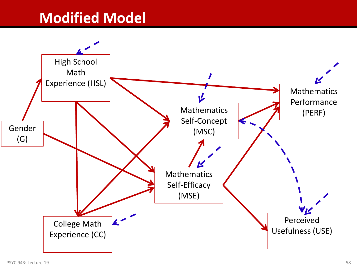## **Modified Model**

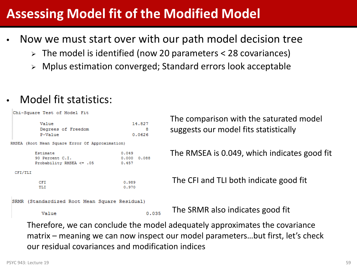## **Assessing Model fit of the Modified Model**

- Now we must start over with our path model decision tree
	- $\geq$  The model is identified (now 20 parameters < 28 covariances)
	- Mplus estimation converged; Standard errors look acceptable
- Model fit statistics:

```
Chi-Square Test of Model Fit
                                                     The comparison with the saturated model 
         Value
                                        14.827
                                                     suggests our model fits statistically
         Degrees of Freedom
                                             8
         P-Value
                                        0.0626
RMSEA (Root Mean Square Error Of Approximation)
                                                     The RMSEA is 0.049, which indicates good fit
        Estimate
                                    0.04990 Percent C.I.
                                     0.000 0.088Probability RMSEA <= .05
                                     0.457
 CFI/TLI
                                                      The CFI and TLI both indicate good fit
         CFI
                                     0.989
                                     0.970
         TLI
SRMR (Standardized Root Mean Square Residual)
                                                      The SRMR also indicates good fit
                                             0.035Value
```
Therefore, we can conclude the model adequately approximates the covariance matrix – meaning we can now inspect our model parameters…but first, let's check our residual covariances and modification indices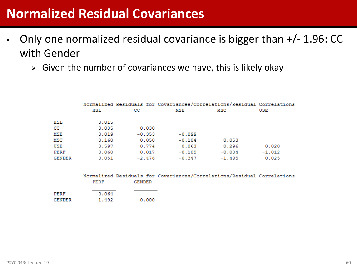### **Normalized Residual Covariances**

- Only one normalized residual covariance is bigger than +/- 1.96: CC with Gender
	- $\triangleright$  Given the number of covariances we have, this is likely okay

|        |       |          |          | Normalized Residuals for Covariances/Correlations/Residual Correlations |          |
|--------|-------|----------|----------|-------------------------------------------------------------------------|----------|
|        | HSL   | CC       | MSE      | MSC                                                                     | USE      |
| HSL    | 0.015 |          |          |                                                                         |          |
| cс     | 0.035 | 0.030    |          |                                                                         |          |
| MSE    | 0.019 | $-0.353$ | $-0.099$ |                                                                         |          |
| MSC    | 0.160 | 0.050    | $-0.104$ | 0.053                                                                   |          |
| USE    | 0.597 | 0.774    | 0.063    | 0.296                                                                   | 0.020    |
| PERF   | 0.060 | 0.017    | $-0.109$ | $-0.004$                                                                | $-1.012$ |
| GENDER | 0.051 | $-2.476$ | $-0.347$ | $-1.495$                                                                | 0.025    |
|        |       |          |          |                                                                         |          |

|        |          |        | Normalized Residuals for Covariances/Correlations/Residual Correlations |  |
|--------|----------|--------|-------------------------------------------------------------------------|--|
|        | PERF     | GENDER |                                                                         |  |
|        |          |        |                                                                         |  |
| PERF   | $-0.064$ |        |                                                                         |  |
| GENDER | $-1.492$ | 0.000  |                                                                         |  |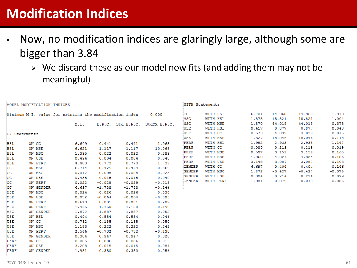## **Modification Indices**

- Now, no modification indices are glaringly large, although some are bigger than 3.84
	- $\triangleright$  We discard these as our model now fits (and adding them may not be meaningful)

| MODEL MODIFICATION INDICES                             |               |       |          | WITH Statements                   |                                |                |                  |                  |                |           |          |
|--------------------------------------------------------|---------------|-------|----------|-----------------------------------|--------------------------------|----------------|------------------|------------------|----------------|-----------|----------|
| Minimum M.I. value for printing the modification index |               |       | 0.000    | WITH HSL<br>CC<br>MSC<br>WITH HSL |                                | 6.701<br>1,878 | 14.968<br>15.821 | 14.968<br>15,821 | 1.949<br>1,004 |           |          |
|                                                        |               |       |          |                                   |                                | MSC            | WITH MSE         | 1,870            | 44.019         | 44.019    | 0.373    |
|                                                        |               | M.I.  |          |                                   | E.P.C. Std E.P.C. StdYX E.P.C. | USE            | WITH HSL         | 0.417            | 0.877          | 0.877     | 0.043    |
|                                                        |               |       |          |                                   |                                | USE            | WITH CC          | 0.573            | 4.039          | 4.039     | 0.045    |
|                                                        | ON Statements |       |          |                                   |                                | USE            | WITH MSE         | 1.327            | $-18.046$      | $-18.046$ | $-0.118$ |
|                                                        |               |       |          |                                   |                                | PERF           | WITH HSL         | 1.982            | 2.933          | 2.933     | 1.147    |
| HSL                                                    | ON CC         | 6.699 | 0.441    | 0.441                             | 1,965                          | PERF           | WITH CC          | 0.085            | 0.219          | 0.219     | 0.019    |
| HSL                                                    | ON MSE        | 6.621 | 1.117    | 1.117                             | 10,068                         | PERF           | WITH MSE         | 0.597            | 3.159          | 3.159     | 0.165    |
| <b>HSL</b>                                             | ON MSC        | 1.395 | 0.022    | 0.022                             | 0.289                          | PERF           | WITH MSC         | 1,960            | 4.324          | 4.324     | 0.186    |
| <b>HSL</b>                                             | ON USE        | 0.494 | 0.004    | 0.004                             | 0.048                          | PERF           | WITH USE         | 3.148            | $-3.087$       | $-3.087$  | $-0.103$ |
| HSL                                                    | ON PERF       | 4.403 | 0.773    | 0.773                             | 1.737                          | <b>GENDER</b>  | WITH CC          | 6.697            | $-0.404$       | $-0.404$  | $-0.146$ |
| CC                                                     | ON MSE        | 6.714 | $-0.429$ | $-0.429$                          | $-0.869$                       | <b>GENDER</b>  | WITH MSC         | 1.872            | $-0.427$       | $-0.427$  | $-0.075$ |
| CC                                                     | ON MSC        | 0.012 | $-0.008$ | $-0.008$                          | $-0.023$                       |                |                  |                  |                |           |          |
| cc                                                     | ON USE        | 0.435 | 0.015    | 0.015                             | 0.040                          | <b>GENDER</b>  | WITH USE         | 0.304            | 0.214          | 0.214     | 0.029    |
| cc                                                     | ON PERF       | 0.022 | $-0.029$ | $-0.029$                          | $-0.015$                       | <b>GENDER</b>  | WITH PERF        | 1.981            | $-0.079$       | $-0.079$  | $-0.086$ |
| cc                                                     | ON GENDER     | 6.697 | $-1.788$ | $-1.788$                          | $-0.144$                       |                |                  |                  |                |           |          |
| <b>MSE</b>                                             | ON MSC        | 0.024 | 0.026    | 0.026                             | 0.038                          |                |                  |                  |                |           |          |
| MSE                                                    | ON USE        | 0.932 | $-0.064$ | $-0.064$                          | $-0.085$                       |                |                  |                  |                |           |          |
| MSE                                                    | ON PERF       | 0.619 | 0.831    | 0.831                             | 0.207                          |                |                  |                  |                |           |          |
| MSC                                                    | ON PERF       | 1.965 | 1.150    | 1.150                             | 0.199                          |                |                  |                  |                |           |          |
| MSC                                                    | ON GENDER     | 1,872 | $-1.887$ | $-1.887$                          | $-0.052$                       |                |                  |                  |                |           |          |
| USE                                                    | ON HSL        | 0.494 | 0.554    | 0.554                             | 0.046                          |                |                  |                  |                |           |          |
| USE                                                    | ON CC         | 0.732 | 0.135    | 0.135                             | 0.050                          |                |                  |                  |                |           |          |
| USE                                                    | ON MSC        | 1.183 | 0.222    | 0.222                             | 0.241                          |                |                  |                  |                |           |          |
| USE                                                    | ON PERF       | 2.566 | $-0.732$ | $-0.732$                          | $-0.138$                       |                |                  |                  |                |           |          |
| USE                                                    | ON GENDER     | 0.304 | 0.947    | 0.947                             | 0.028                          |                |                  |                  |                |           |          |
| PERF                                                   | ON CC         | 0.085 | 0.006    | 0.006                             | 0.013                          |                |                  |                  |                |           |          |
| PERF                                                   | ON USE        | 3,208 | $-0.015$ | $-0.015$                          | $-0.081$                       |                |                  |                  |                |           |          |
| PERF                                                   | ON GENDER     | 1,981 | $-0.350$ | $-0.350$                          | $-0.056$                       |                |                  |                  |                |           |          |
|                                                        |               |       |          |                                   |                                |                |                  |                  |                |           |          |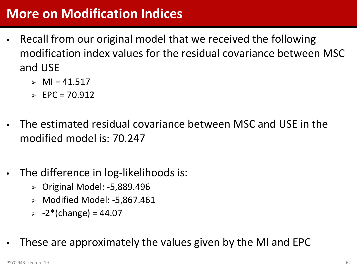## **More on Modification Indices**

- Recall from our original model that we received the following modification index values for the residual covariance between MSC and USE
	- $\triangleright$  MI = 41.517
	- $\ge$  EPC = 70.912
- The estimated residual covariance between MSC and USE in the modified model is: 70.247
- The difference in log-likelihoods is:
	- Original Model: -5,889.496
	- Modified Model: -5,867.461
	- $> -2*(change) = 44.07$
- These are approximately the values given by the MI and EPC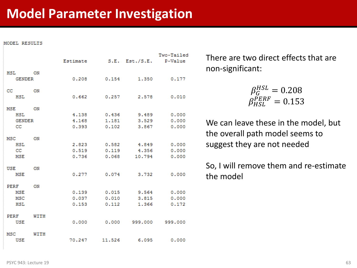#### MODEL RESULTS

|               |      | Estimate |        | $S.E.$ Est./ $S.E.$ | Two-Tailed<br>P-Value |
|---------------|------|----------|--------|---------------------|-----------------------|
| HSL           | ON   |          |        |                     |                       |
| <b>GENDER</b> |      | 0.208    | 0.154  | 1,350               | 0.177                 |
| cc            | ON   |          |        |                     |                       |
| <b>HSL</b>    |      | 0.662    | 0.257  | 2.578               | 0.010                 |
| MSE           | ON   |          |        |                     |                       |
| <b>HSL</b>    |      | 4,138    | 0.436  | 9.489               | 0.000                 |
| <b>GENDER</b> |      | 4.168    | 1,181  | 3.529               | 0.000                 |
| CC            |      | 0.393    | 0.102  | 3.867               | 0.000                 |
| MSC           | ON   |          |        |                     |                       |
| <b>HSL</b>    |      | 2.823    | 0.582  | 4.849               | 0.000                 |
| CC            |      | 0.519    | 0.119  | 4.356               | 0.000                 |
| <b>MSE</b>    |      | 0.736    | 0.068  | 10.794              | 0.000                 |
| <b>USE</b>    | ON   |          |        |                     |                       |
| <b>MSE</b>    |      | 0.277    | 0.074  | 3.732               | 0.000                 |
| PERF          | ON   |          |        |                     |                       |
| <b>MSE</b>    |      | 0.139    | 0.015  | 9.564               | 0.000                 |
| <b>MSC</b>    |      | 0.037    | 0.010  | 3.815               | 0.000                 |
| <b>HSL</b>    |      | 0.153    | 0.112  | 1.366               | 0.172                 |
| PERF          | WITH |          |        |                     |                       |
| <b>USE</b>    |      | 0.000    | 0.000  | 999,000             | 999,000               |
| <b>MSC</b>    | WITH |          |        |                     |                       |
| <b>USE</b>    |      | 70.247   | 11.526 | 6.095               | 0.000                 |

There are two direct effects that are non-significant:

$$
\beta_G^{HSL} = 0.208
$$

$$
\beta_{HSL}^{PERF} = 0.153
$$

We can leave these in the model, but the overall path model seems to suggest they are not needed

So, I will remove them and re-estimate the model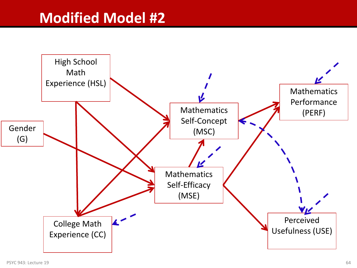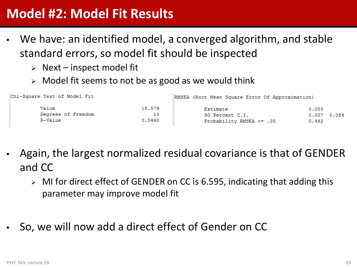## **Model #2: Model Fit Results**

- We have: an identified model, a converged algorithm, and stable standard errors, so model fit should be inspected
	- $\triangleright$  Next inspect model fit
	- $\triangleright$  Model fit seems to not be as good as we would think

| Chi-Square Test of Model Fit           |                        | RMSEA (Root Mean Square Error Of Approximation)         |                                  |  |  |
|----------------------------------------|------------------------|---------------------------------------------------------|----------------------------------|--|--|
| Value<br>Degrees of Freedom<br>P-Value | 18,579<br>10<br>0.0460 | Estimate<br>90 Percent C.I.<br>Probability RMSEA <= .05 | 0.050<br>0.007<br>0.084<br>0.462 |  |  |

- Again, the largest normalized residual covariance is that of GENDER and CC
	- $\triangleright$  MI for direct effect of GENDER on CC is 6.595, indicating that adding this parameter may improve model fit
- So, we will now add a direct effect of Gender on CC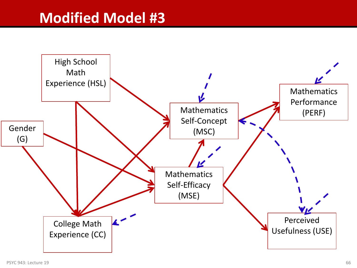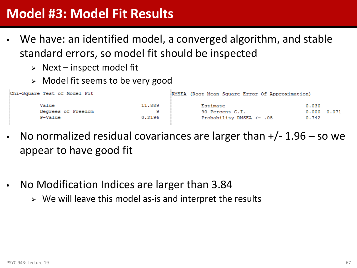## **Model #3: Model Fit Results**

- We have: an identified model, a converged algorithm, and stable standard errors, so model fit should be inspected
	- $\triangleright$  Next inspect model fit
	- $\triangleright$  Model fit seems to be very good

| Chi-Square Test of Model Fit |        | RMSEA (Root Mean Square Error Of Approximation) |                     |  |  |
|------------------------------|--------|-------------------------------------------------|---------------------|--|--|
| Value                        | 11,889 | Estimate                                        | 0.030               |  |  |
| Degrees of Freedom           |        | 90 Percent C.I.                                 | $0.000 \quad 0.071$ |  |  |
| P-Value                      | 0.2196 | Probability RMSEA <= .05                        | 0.742               |  |  |

- No normalized residual covariances are larger than  $+/- 1.96 -$  so we appear to have good fit
- No Modification Indices are larger than 3.84
	- $\triangleright$  We will leave this model as-is and interpret the results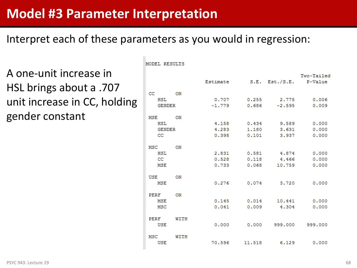#### **Model #3 Parameter Interpretation**

#### Interpret each of these parameters as you would in regression:

MODEL RESULTS

A one-unit increase in HSL brings about a .707 unit increase in CC, holding gender constant

|               |             | Estimate |        | $S.E.$ Est./ $S.E.$ | Two-Tailed<br>P-Value |
|---------------|-------------|----------|--------|---------------------|-----------------------|
| cc            | <b>ON</b>   |          |        |                     |                       |
| HSL           |             | 0.707    | 0.255  | 2.775               | 0.006                 |
| <b>GENDER</b> |             | $-1.779$ | 0.686  | $-2.595$            | 0.009                 |
| MSE           | <b>ON</b>   |          |        |                     |                       |
| <b>HSL</b>    |             | 4,158    | 0.434  | 9.589               | 0.000                 |
| <b>GENDER</b> |             | 4,283    | 1,180  | 3.631               | 0.000                 |
| cc            |             | 0.398    | 0.101  | 3.937               | 0.000                 |
| MSC           | ON          |          |        |                     |                       |
| HSL           |             | 2.831    | 0.581  | 4.874               | 0.000                 |
| cc            |             | 0.528    | 0.118  | 4.466               | 0.000                 |
| MSE           |             | 0.733    | 0.068  | 10.759              | 0.000                 |
| USE           | ON          |          |        |                     |                       |
| <b>MSE</b>    |             | 0.276    | 0.074  | 3,720               | 0.000                 |
| PERF          | ON          |          |        |                     |                       |
| <b>MSE</b>    |             | 0.145    | 0.014  | 10.441              | 0.000                 |
| <b>MSC</b>    |             | 0.041    | 0.009  | 4.304               | 0.000                 |
| PERF          | WITH        |          |        |                     |                       |
| <b>USE</b>    |             | 0.000    | 0.000  | 999,000             | 999,000               |
| MSC           | <b>WITH</b> |          |        |                     |                       |
| USE           |             | 70.596   | 11,518 | 6.129               | 0.000                 |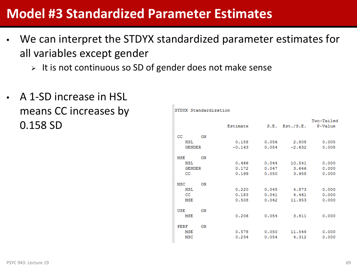### **Model #3 Standardized Parameter Estimates**

- We can interpret the STDYX standardized parameter estimates for all variables except gender
	- $\triangleright$  It is not continuous so SD of gender does not make sense
- A 1-SD increase in HSL means CC increases by 0.158 SD

STDYX Standardization

|               |    |          |       |                     | Two-Tailed |
|---------------|----|----------|-------|---------------------|------------|
|               |    | Estimate |       | $S.E.$ Est./ $S.E.$ | P-Value    |
| CC.           | ON |          |       |                     |            |
| HSL           |    | 0.158    | 0.056 | 2,808               | 0.005      |
| <b>GENDER</b> |    | $-0.143$ | 0.054 | $-2.632$            | 0.008      |
|               |    |          |       |                     |            |
| MSE           | ON |          |       |                     |            |
| <b>HSL</b>    |    | 0.466    | 0.044 | 10.541              | 0.000      |
| <b>GENDER</b> |    | 0.172    | 0.047 | 3.646               | 0.000      |
| cс            |    | 0.199    | 0.050 | 3.958               | 0.000      |
|               |    |          |       |                     |            |
| MSC           | ON |          |       |                     |            |
| HSL           |    | 0.220    | 0.045 | 4.873               | 0.000      |
| CC.           |    | 0.183    | 0.041 | 4.461               | 0.000      |
| MSE           |    | 0.508    | 0.042 | 11,953              | 0.000      |
|               |    |          |       |                     |            |
| USE           | ON |          |       |                     |            |
| MSE           |    | 0.206    | 0.054 | 3.811               | 0.000      |
|               |    |          |       |                     |            |
| PERF          | ON |          |       |                     |            |
| MSE           |    | 0.578    | 0.050 | 11.548              | 0.000      |
| <b>MSC</b>    |    | 0.234    | 0.054 | 4.312               | 0.000      |
|               |    |          |       |                     |            |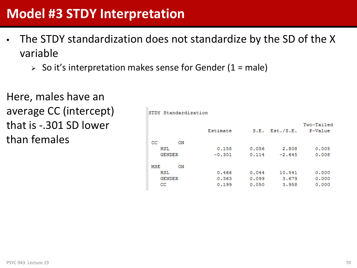## **Model #3 STDY Interpretation**

• The STDY standardization does not standardize by the SD of the X variable

STDY Standardization

 $\geq$  So it's interpretation makes sense for Gender (1 = male)

Here, males have an average CC (intercept) that is -.301 SD lower than females

Two-Tailed Estimate  $S.E.$  Est./ $S.E.$ P-Value  $CC$ ON **HSL** 0.158 0.056 2,808  $0.005$  $-2.645$ **GENDER**  $-0.301$  $0.114$  $0.008$ **MSE** ON HSL 0.466  $0.044$ 10.541  $0.000$ 0.363 **GENDER**  $0.099$ 3.679  $0.000$  $cc$ 0.199  $0.050$ 3.958  $0.000$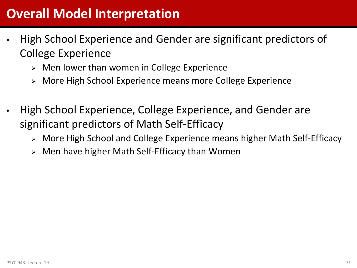## **Overall Model Interpretation**

- High School Experience and Gender are significant predictors of College Experience
	- Men lower than women in College Experience
	- More High School Experience means more College Experience
- High School Experience, College Experience, and Gender are significant predictors of Math Self-Efficacy
	- More High School and College Experience means higher Math Self-Efficacy
	- Men have higher Math Self-Efficacy than Women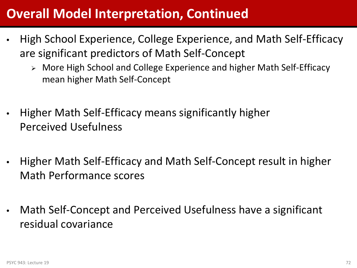## **Overall Model Interpretation, Continued**

- High School Experience, College Experience, and Math Self-Efficacy are significant predictors of Math Self-Concept
	- More High School and College Experience and higher Math Self-Efficacy mean higher Math Self-Concept
- Higher Math Self-Efficacy means significantly higher Perceived Usefulness
- Higher Math Self-Efficacy and Math Self-Concept result in higher Math Performance scores
- Math Self-Concept and Perceived Usefulness have a significant residual covariance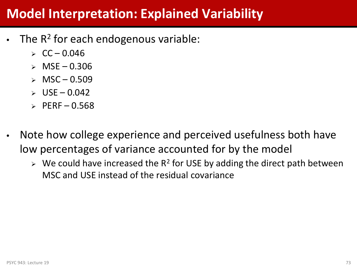#### **Model Interpretation: Explained Variability**

- The  $R^2$  for each endogenous variable:
	- $\triangleright$  CC 0.046
	- $>$  MSE 0.306
	- $\times$  MSC 0.509
	- $\triangleright$  USE 0.042
	- $\triangleright$  PERF 0.568
- Note how college experience and perceived usefulness both have low percentages of variance accounted for by the model
	- $\triangleright$  We could have increased the R<sup>2</sup> for USE by adding the direct path between MSC and USE instead of the residual covariance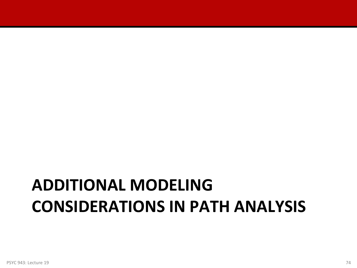## **ADDITIONAL MODELING CONSIDERATIONS IN PATH ANALYSIS**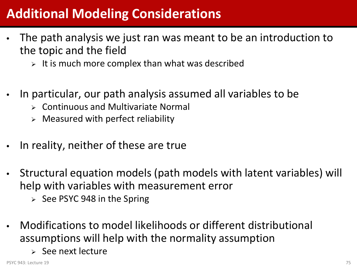### **Additional Modeling Considerations**

- The path analysis we just ran was meant to be an introduction to the topic and the field
	- $\triangleright$  It is much more complex than what was described
- In particular, our path analysis assumed all variables to be
	- $\triangleright$  Continuous and Multivariate Normal
	- $\triangleright$  Measured with perfect reliability
- In reality, neither of these are true
- Structural equation models (path models with latent variables) will help with variables with measurement error
	- $\ge$  See PSYC 948 in the Spring
- Modifications to model likelihoods or different distributional assumptions will help with the normality assumption
	- $\ge$  See next lecture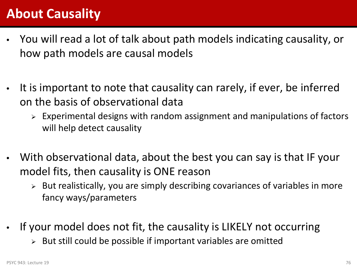### **About Causality**

- You will read a lot of talk about path models indicating causality, or how path models are causal models
- It is important to note that causality can rarely, if ever, be inferred on the basis of observational data
	- $\triangleright$  Experimental designs with random assignment and manipulations of factors will help detect causality
- With observational data, about the best you can say is that IF your model fits, then causality is ONE reason
	- $\triangleright$  But realistically, you are simply describing covariances of variables in more fancy ways/parameters
- If your model does not fit, the causality is LIKELY not occurring
	- $\triangleright$  But still could be possible if important variables are omitted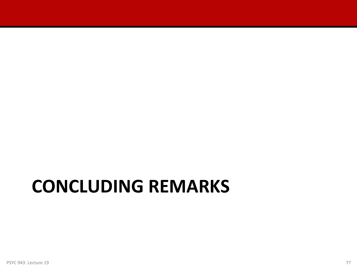# **CONCLUDING REMARKS**